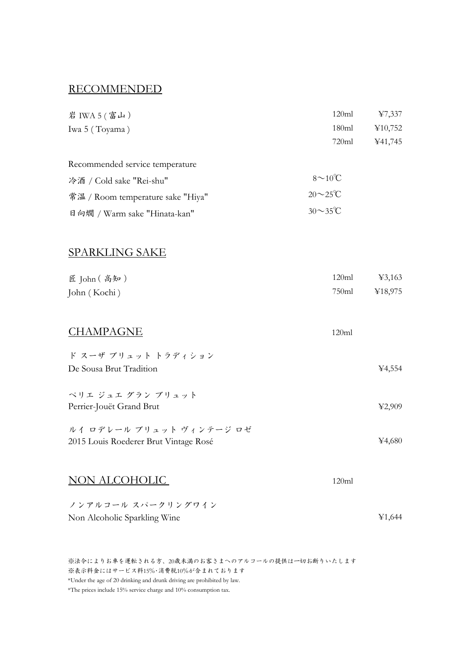#### RECOMMENDED

| 岩 IWA 5 (富山)                      | 120ml                | 47,337  |
|-----------------------------------|----------------------|---------|
| Iwa 5 (Toyama)                    | 180ml                | ¥10,752 |
|                                   | 720ml                | ¥41,745 |
| Recommended service temperature   |                      |         |
| 冷酒 / Cold sake "Rei-shu"          | $8 \sim 10^{\circ}C$ |         |
| 常温 / Room temperature sake "Hiya" | $20 \sim 25$ °C      |         |
| 日向燗 / Warm sake "Hinata-kan"      | $30 \sim 35$ °C      |         |
|                                   |                      |         |
| <b>SPARKLING SAKE</b>             |                      |         |
|                                   |                      |         |

| 匠 John (高知)  | 120ml | ¥3,163        |
|--------------|-------|---------------|
| John (Kochi) |       | 750ml ¥18,975 |

| <b>CHAMPAGNE</b> | 120ml |
|------------------|-------|
|                  |       |

| ド スーザ ブリュット トラディション                   |                               |
|---------------------------------------|-------------------------------|
| De Sousa Brut Tradition               | ¥4,554                        |
|                                       |                               |
| ペリエ ジュエ グラン ブリュット                     |                               |
| Perrier-Jouët Grand Brut              | $\textcolor{blue}{\geq}2.909$ |
| ルイ ロデレール ブリュット ヴィンテージ ロゼ              |                               |
| 2015 Louis Roederer Brut Vintage Rosé | ¥4.680                        |

#### NON ALCOHOLIC

120ml

¥1,644

ノンアルコール スパークリングワイン Non Alcoholic Sparkling Wine

※法令によりお車を運転される方、20歳未満のお客さまへのアルコールの提供は一切お断りいたします ※表示料金にはサービス料15%・消費税10%が含まれております \*Under the age of 20 drinking and drunk driving are prohibited by law. \*The prices include 15% service charge and 10% consumption tax.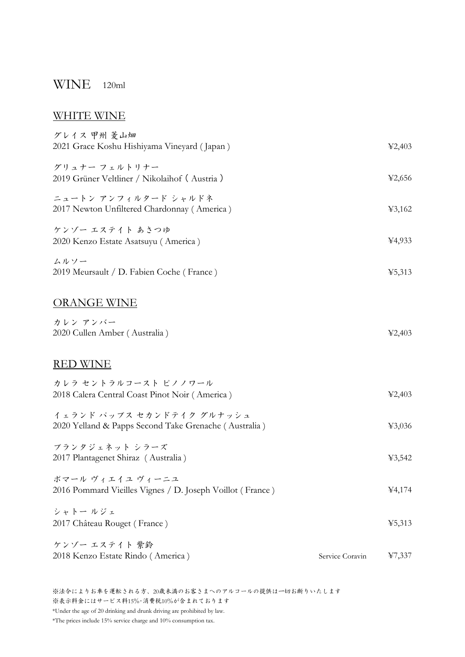## WINE 120ml

#### WHITE WINE

| グレイス 甲州 菱山畑<br>2021 Grace Koshu Hishiyama Vineyard (Japan)                         |                 | 42,403 |
|------------------------------------------------------------------------------------|-----------------|--------|
| グリュナー フェルトリナー<br>2019 Grüner Veltliner / Nikolaihof (Austria)                      |                 | ¥2,656 |
| ニュートン アンフィルタード シャルドネ<br>2017 Newton Unfiltered Chardonnay (America)                |                 | 43,162 |
| ケンゾー エステイト あさつゆ<br>2020 Kenzo Estate Asatsuyu (America)                            |                 | ¥4,933 |
| ムルソー<br>2019 Meursault / D. Fabien Coche (France)                                  |                 | 45,313 |
| <b>ORANGE WINE</b>                                                                 |                 |        |
| カレン アンバー<br>2020 Cullen Amber (Australia)                                          |                 | 42,403 |
| RED WINE                                                                           |                 |        |
| カレラ セントラルコースト ピノノワール<br>2018 Calera Central Coast Pinot Noir (America)             |                 | 42,403 |
| イェランド パップス セカンドテイク グルナッシュ<br>2020 Yelland & Papps Second Take Grenache (Australia) |                 | 43,036 |
| プランタジェネット シラーズ<br>2017 Plantagenet Shiraz (Australia)                              |                 | 43,542 |
| ポマール ヴィエイユ ヴィーニユ<br>2016 Pommard Vieilles Vignes / D. Joseph Voillot (France)      |                 | 44,174 |
| シャトー ルジェ<br>2017 Château Rouget (France)                                           |                 | 45,313 |
| ケンゾー エステイト 紫鈴                                                                      |                 | 47,337 |
| 2018 Kenzo Estate Rindo (America)                                                  | Service Coravin |        |

※法令によりお車を運転される方、20歳未満のお客さまへのアルコールの提供は一切お断りいたします ※表示料金にはサービス料15%・消費税10%が含まれております \*Under the age of 20 drinking and drunk driving are prohibited by law.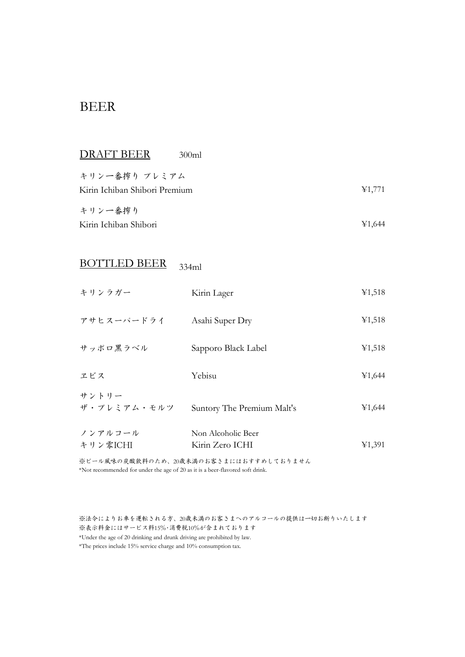### BEER

| キリン一番搾り プレミアム<br>Kirin Ichiban Shibori Premium<br>キリン一番搾り<br>Kirin Ichiban Shibori | DRAFT BEER | 300ml |  |                                     |
|------------------------------------------------------------------------------------|------------|-------|--|-------------------------------------|
|                                                                                    |            |       |  | 41,771                              |
|                                                                                    |            |       |  | $\textcolor{blue}{\mathbf{41.644}}$ |

# BOTTLED BEER 334ml

| キリンラガー               | Kirin Lager                           | ¥1,518 |
|----------------------|---------------------------------------|--------|
| アサヒスーパードライ           | Asahi Super Dry                       | ¥1,518 |
| サッポロ黒ラベル             | Sapporo Black Label                   | ¥1,518 |
| ヱビス                  | Yebisu                                | ¥1,644 |
| サントリー<br>ザ・プレミアム・モルツ | Suntory The Premium Malt's            | ¥1,644 |
| ノンアルコール<br>キリン零ICHI  | Non Alcoholic Beer<br>Kirin Zero ICHI | ¥1,391 |

※ビール風味の炭酸飲料のため、20歳未満のお客さまにはおすすめしておりません \*Not recommended for under the age of 20 as it is a beer-flavored soft drink.

※法令によりお車を運転される方、20歳未満のお客さまへのアルコールの提供は一切お断りいたします ※表示料金にはサービス料15%・消費税10%が含まれております \*Under the age of 20 drinking and drunk driving are prohibited by law.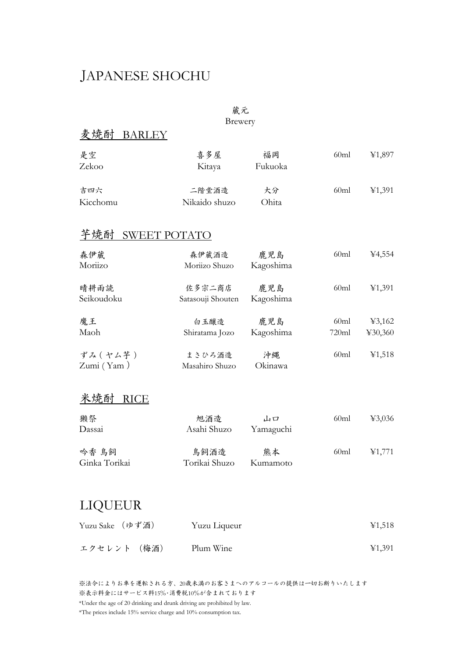# JAPANESE SHOCHU

## 蔵元

Brewery

## 麦焼酎 BARLEY

| 是空<br>Zekoo | 喜多屋<br>Kitaya | 福岡<br>Fukuoka | 60ml | 41,897 |
|-------------|---------------|---------------|------|--------|
| 吉四六         | 二階堂酒造         | 大分            | 60ml | 41,391 |
| Kicchomu    | Nikaido shuzo | Ohita         |      |        |

## 芋焼酎 SWEET POTATO

| 森伊蔵<br>Moriizo         | 森伊蔵酒造<br>Moriizo Shuzo      | 鹿児島<br>Kagoshima | 60ml          | 4,554             |
|------------------------|-----------------------------|------------------|---------------|-------------------|
| 晴耕雨読<br>Seikoudoku     | 佐多宗二商店<br>Satasouji Shouten | 鹿児島<br>Kagoshima | 60ml          | ¥1,391            |
| 魔王<br>Maoh             | 白玉釀造<br>Shiratama Jozo      | 鹿児島<br>Kagoshima | 60ml<br>720ml | 43,162<br>430,360 |
| ずみ (ヤム芋)<br>Zumi (Yam) | まさひろ酒造<br>Masahiro Shuzo    | 沖縄<br>Okinawa    | 60ml          | ¥1,518            |

#### 米焼酎 RICE

| 獭祭<br>Dassai           | 旭酒造<br>Asahi Shuzo    | 山口<br>Yamaguchi | 60ml | 43,036 |
|------------------------|-----------------------|-----------------|------|--------|
| 吟香 鳥飼<br>Ginka Torikai | 鳥飼酒造<br>Torikai Shuzo | 能本<br>Kumamoto  | 60ml | ¥1,771 |

# LIQUEUR

| Yuzu Sake (ゆず酒) | Yuzu Liqueur | ¥1,518 |
|-----------------|--------------|--------|
| エクセレント (梅酒)     | Plum Wine    | 41,391 |

※法令によりお車を運転される方、20歳未満のお客さまへのアルコールの提供は一切お断りいたします ※表示料金にはサービス料15%・消費税10%が含まれております \*Under the age of 20 drinking and drunk driving are prohibited by law.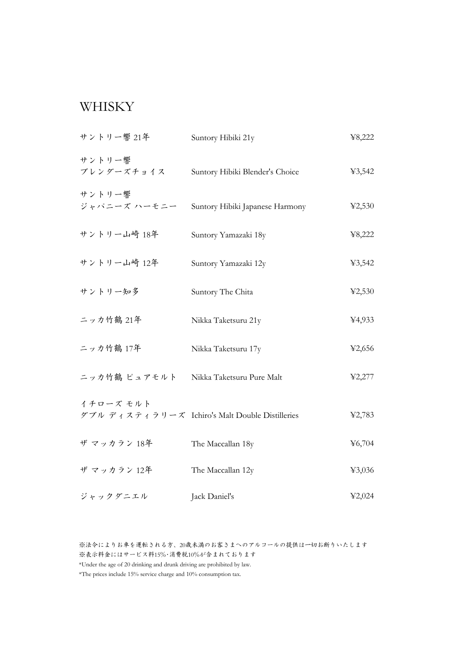### WHISKY

| サントリー響 21年             | Suntory Hibiki 21y                              | ¥8,222 |
|------------------------|-------------------------------------------------|--------|
| サントリー響<br>ブレンダーズチョイス   | Suntory Hibiki Blender's Choice                 | 43,542 |
| サントリー響<br>ジャパニーズ ハーモニー | Suntory Hibiki Japanese Harmony                 | 42,530 |
| サントリー山崎 18年            | Suntory Yamazaki 18y                            | ¥8,222 |
| サントリー山崎 12年            | Suntory Yamazaki 12y                            | ¥3,542 |
| サントリー知多                | Suntory The Chita                               | 42,530 |
| ニッカ竹鶴 21年              | Nikka Taketsuru 21y                             | ¥4,933 |
| ニッカ竹鶴 17年              | Nikka Taketsuru 17y                             | 42,656 |
| ニッカ竹鶴 ピュアモルト           | Nikka Taketsuru Pure Malt                       | 42,277 |
| イチローズ モルト              | ダブル ディスティラリーズ Ichiro's Malt Double Distilleries | 42,783 |
| ザ マッカラン 18年            | The Maccallan 18y                               | 46,704 |
| ザ マッカラン 12年            | The Maccallan 12y                               | 43,036 |
| ジャックダニエル               | Jack Daniel's                                   | 42,024 |

※法令によりお車を運転される方、20歳未満のお客さまへのアルコールの提供は一切お断りいたします ※表示料金にはサービス料15%・消費税10%が含まれております \*Under the age of 20 drinking and drunk driving are prohibited by law.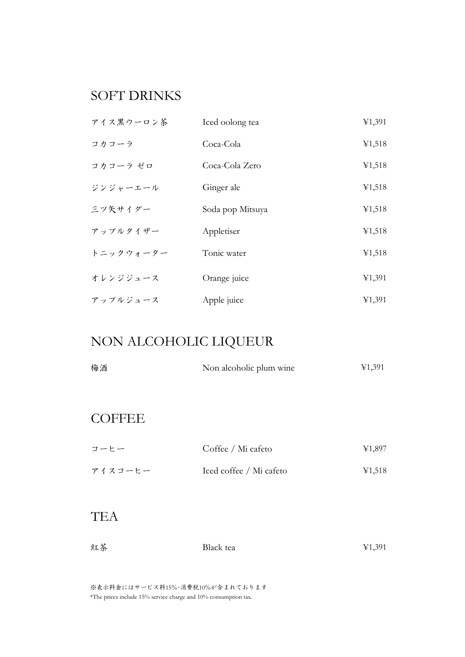# SOFT DRINKS

| アイス黒ウーロン茶 | Iced oolong tea  | 41,391 |
|-----------|------------------|--------|
| コカコーラ     | Coca-Cola        | ¥1,518 |
| コカコーラ ゼロ  | Coca-Cola Zero   | ¥1,518 |
| ジンジャーエール  | Ginger ale       | 41,518 |
| 三ツ矢サイダー   | Soda pop Mitsuya | ¥1,518 |
| アップルタイザー  | Appletiser       | ¥1,518 |
| トニックウォーター | Tonic water      | ¥1,518 |
| オレンジジュース  | Orange juice     | 41,391 |
| アップルジュース  | Apple juice      | 41,391 |

# NON ALCOHOLIC LIQUEUR

| 梅酒 | Non alcoholic plum wine | ¥1,391 |
|----|-------------------------|--------|
|    |                         |        |

# **COFFEE**

| コーヒー    | Coffee / Mi cafeto      | ¥1,897 |
|---------|-------------------------|--------|
| アイスコーヒー | Iced coffee / Mi cafeto | ¥1,518 |

### **TEA**

| 紅茶 | Black tea | ¥1,391 |
|----|-----------|--------|
|    |           |        |

※表示料金にはサービス料15%・消費税10%が含まれております \*The prices include 15% service charge and 10% consumption tax.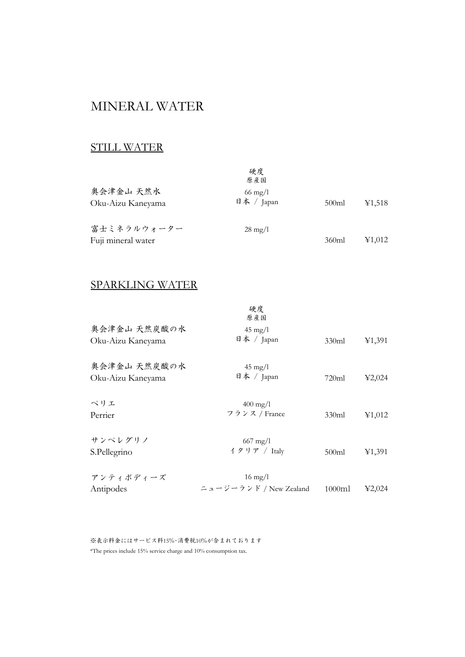## MINERAL WATER

### STILL WATER

|                                   | 硬度<br>原産国                       |       |                                                   |
|-----------------------------------|---------------------------------|-------|---------------------------------------------------|
| 奥会津金山 天然水<br>Oku-Aizu Kaneyama    | $66 \text{ mg}/1$<br>日本 / Japan | 500ml | ¥1,518                                            |
| 富士ミネラルウォーター<br>Fuji mineral water | $28 \text{ mg}/1$               | 360ml | $\textcolor{blue}{\boldsymbol{\mathcal{E}}1.012}$ |

#### SPARKLING WATER

| 奥会津金山 天然炭酸の水                      | 硬度<br>原產国<br>$45 \text{ mg}/1$              |        |        |
|-----------------------------------|---------------------------------------------|--------|--------|
| Oku-Aizu Kaneyama                 | 日本 / Japan                                  | 330ml  | 41,391 |
| 奥会津金山 天然炭酸の水<br>Oku-Aizu Kaneyama | $45 \text{ mg}/1$<br>日本 / Japan             | 720ml  | 42,024 |
| ペリエ<br>Perrier                    | $400 \,\mathrm{mg}/l$<br>フランス / France      | 330ml  | 41,012 |
| サンペレグリノ<br>S.Pellegrino           | $667 \text{ mg}/1$<br>イタリア / Italy          | 500ml  | 41,391 |
| アンティポディーズ<br>Antipodes            | $16 \text{ mg/l}$<br>ニュージーランド / New Zealand | 1000ml | 42,024 |

※表示料金にはサービス料15%・消費税10%が含まれております \*The prices include 15% service charge and 10% consumption tax.